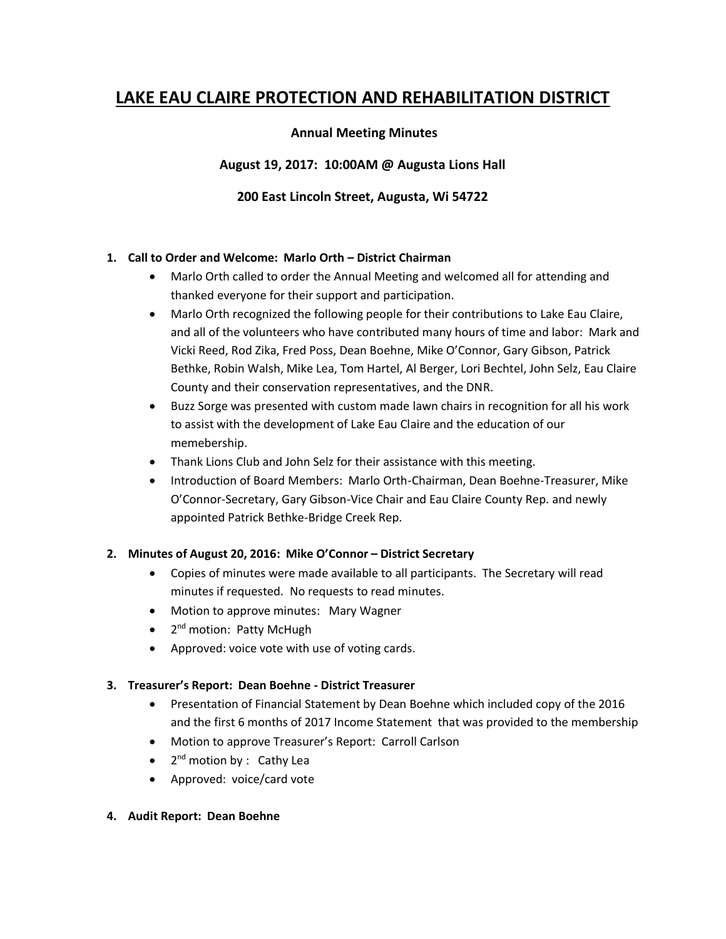# **LAKE EAU CLAIRE PROTECTION AND REHABILITATION DISTRICT**

## **Annual Meeting Minutes**

**August 19, 2017: 10:00AM @ Augusta Lions Hall**

## **200 East Lincoln Street, Augusta, Wi 54722**

#### **1. Call to Order and Welcome: Marlo Orth – District Chairman**

- Marlo Orth called to order the Annual Meeting and welcomed all for attending and thanked everyone for their support and participation.
- Marlo Orth recognized the following people for their contributions to Lake Eau Claire, and all of the volunteers who have contributed many hours of time and labor: Mark and Vicki Reed, Rod Zika, Fred Poss, Dean Boehne, Mike O'Connor, Gary Gibson, Patrick Bethke, Robin Walsh, Mike Lea, Tom Hartel, Al Berger, Lori Bechtel, John Selz, Eau Claire County and their conservation representatives, and the DNR.
- Buzz Sorge was presented with custom made lawn chairs in recognition for all his work to assist with the development of Lake Eau Claire and the education of our memebership.
- Thank Lions Club and John Selz for their assistance with this meeting.
- Introduction of Board Members: Marlo Orth-Chairman, Dean Boehne-Treasurer, Mike O'Connor-Secretary, Gary Gibson-Vice Chair and Eau Claire County Rep. and newly appointed Patrick Bethke-Bridge Creek Rep.

## **2. Minutes of August 20, 2016: Mike O'Connor – District Secretary**

- Copies of minutes were made available to all participants. The Secretary will read minutes if requested. No requests to read minutes.
- Motion to approve minutes: Mary Wagner
- 2<sup>nd</sup> motion: Patty McHugh
- Approved: voice vote with use of voting cards.

#### **3. Treasurer's Report: Dean Boehne - District Treasurer**

- Presentation of Financial Statement by Dean Boehne which included copy of the 2016 and the first 6 months of 2017 Income Statement that was provided to the membership
- Motion to approve Treasurer's Report: Carroll Carlson
- 2<sup>nd</sup> motion by : Cathy Lea
- Approved: voice/card vote
- **4. Audit Report: Dean Boehne**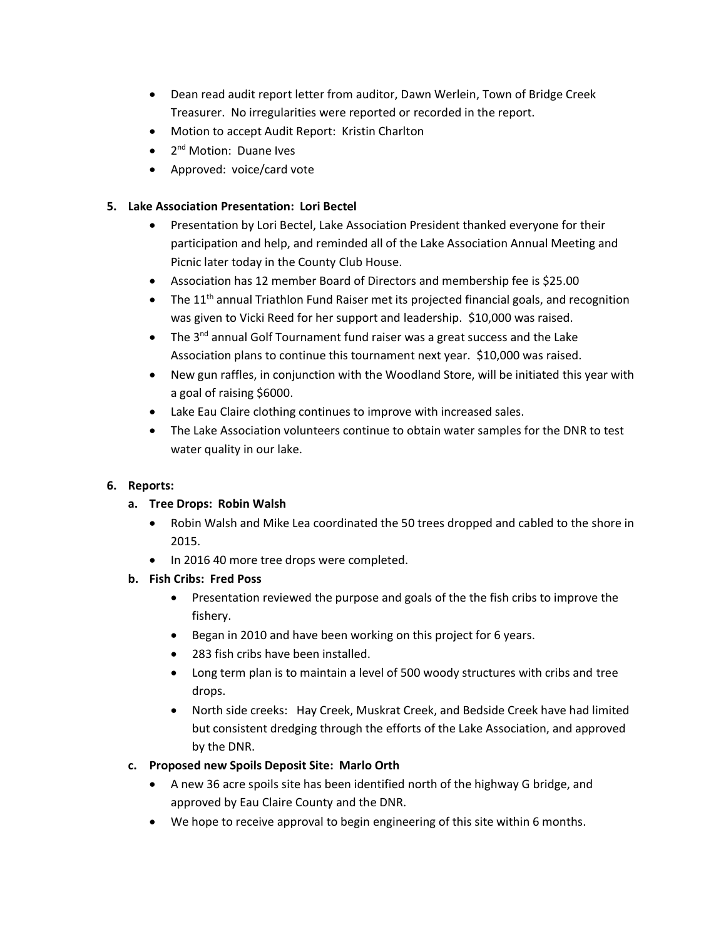- Dean read audit report letter from auditor, Dawn Werlein, Town of Bridge Creek Treasurer. No irregularities were reported or recorded in the report.
- Motion to accept Audit Report: Kristin Charlton
- 2<sup>nd</sup> Motion: Duane Ives
- Approved: voice/card vote

## **5. Lake Association Presentation: Lori Bectel**

- Presentation by Lori Bectel, Lake Association President thanked everyone for their participation and help, and reminded all of the Lake Association Annual Meeting and Picnic later today in the County Club House.
- Association has 12 member Board of Directors and membership fee is \$25.00
- The  $11<sup>th</sup>$  annual Triathlon Fund Raiser met its projected financial goals, and recognition was given to Vicki Reed for her support and leadership. \$10,000 was raised.
- The  $3^{nd}$  annual Golf Tournament fund raiser was a great success and the Lake Association plans to continue this tournament next year. \$10,000 was raised.
- New gun raffles, in conjunction with the Woodland Store, will be initiated this year with a goal of raising \$6000.
- Lake Eau Claire clothing continues to improve with increased sales.
- The Lake Association volunteers continue to obtain water samples for the DNR to test water quality in our lake.

## **6. Reports:**

## **a. Tree Drops: Robin Walsh**

- Robin Walsh and Mike Lea coordinated the 50 trees dropped and cabled to the shore in 2015.
- In 2016 40 more tree drops were completed.
- **b. Fish Cribs: Fred Poss**
	- Presentation reviewed the purpose and goals of the the fish cribs to improve the fishery.
	- Began in 2010 and have been working on this project for 6 years.
	- 283 fish cribs have been installed.
	- Long term plan is to maintain a level of 500 woody structures with cribs and tree drops.
	- North side creeks: Hay Creek, Muskrat Creek, and Bedside Creek have had limited but consistent dredging through the efforts of the Lake Association, and approved by the DNR.
- **c. Proposed new Spoils Deposit Site: Marlo Orth**
	- A new 36 acre spoils site has been identified north of the highway G bridge, and approved by Eau Claire County and the DNR.
	- We hope to receive approval to begin engineering of this site within 6 months.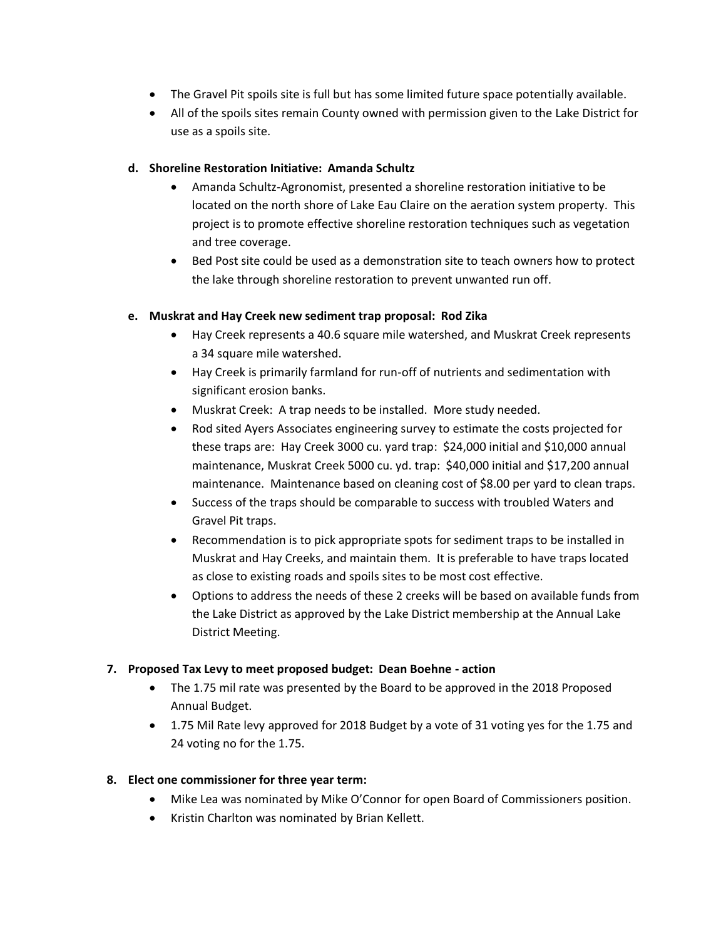- The Gravel Pit spoils site is full but has some limited future space potentially available.
- All of the spoils sites remain County owned with permission given to the Lake District for use as a spoils site.

#### **d. Shoreline Restoration Initiative: Amanda Schultz**

- Amanda Schultz-Agronomist, presented a shoreline restoration initiative to be located on the north shore of Lake Eau Claire on the aeration system property. This project is to promote effective shoreline restoration techniques such as vegetation and tree coverage.
- Bed Post site could be used as a demonstration site to teach owners how to protect the lake through shoreline restoration to prevent unwanted run off.

## **e. Muskrat and Hay Creek new sediment trap proposal: Rod Zika**

- Hay Creek represents a 40.6 square mile watershed, and Muskrat Creek represents a 34 square mile watershed.
- Hay Creek is primarily farmland for run-off of nutrients and sedimentation with significant erosion banks.
- Muskrat Creek: A trap needs to be installed. More study needed.
- Rod sited Ayers Associates engineering survey to estimate the costs projected for these traps are: Hay Creek 3000 cu. yard trap: \$24,000 initial and \$10,000 annual maintenance, Muskrat Creek 5000 cu. yd. trap: \$40,000 initial and \$17,200 annual maintenance. Maintenance based on cleaning cost of \$8.00 per yard to clean traps.
- Success of the traps should be comparable to success with troubled Waters and Gravel Pit traps.
- Recommendation is to pick appropriate spots for sediment traps to be installed in Muskrat and Hay Creeks, and maintain them. It is preferable to have traps located as close to existing roads and spoils sites to be most cost effective.
- Options to address the needs of these 2 creeks will be based on available funds from the Lake District as approved by the Lake District membership at the Annual Lake District Meeting.

## **7. Proposed Tax Levy to meet proposed budget: Dean Boehne - action**

- The 1.75 mil rate was presented by the Board to be approved in the 2018 Proposed Annual Budget.
- 1.75 Mil Rate levy approved for 2018 Budget by a vote of 31 voting yes for the 1.75 and 24 voting no for the 1.75.

## **8. Elect one commissioner for three year term:**

- Mike Lea was nominated by Mike O'Connor for open Board of Commissioners position.
- Kristin Charlton was nominated by Brian Kellett.